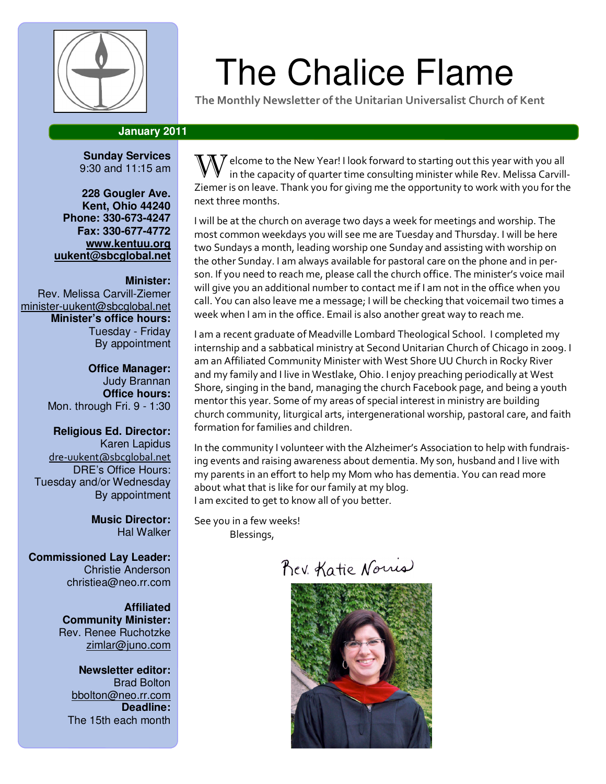

# $\left\Vert \begin{array}{c} \varphi \end{array} \right\Vert$  The Chalice Flame

The Monthly Newsletter of the Unitarian Universalist Church of Kent

# **January 2011**

**Sunday Services**  9:30 and 11:15 am

**228 Gougler Ave. Kent, Ohio 44240 Phone: 330-673-4247 Fax: 330-677-4772 www.kentuu.org uukent@sbcglobal.net**

#### **Minister:**

Rev. Melissa Carvill-Ziemer minister-uukent@sbcglobal.net **Minister's office hours:**  Tuesday - Friday By appointment

> **Office Manager:** Judy Brannan **Office hours:** Mon. through Fri. 9 - 1:30

**Religious Ed. Director:**  Karen Lapidus dre-uukent@sbcglobal.net DRE's Office Hours: Tuesday and/or Wednesday By appointment

> **Music Director:**  Hal Walker

**Commissioned Lay Leader:**  Christie Anderson christiea@neo.rr.com

> **Affiliated Community Minister:**  Rev. Renee Ruchotzke zimlar@juno.com

**Newsletter editor:**  Brad Bolton bbolton@neo.rr.com **Deadline:**  The 15th each month

 $\P\overline{X}$  elcome to the New Year! I look forward to starting out this year with you all in the capacity of quarter time consulting minister while Rev. Melissa Carvill-Ziemer is on leave. Thank you for giving me the opportunity to work with you for the next three months.

I will be at the church on average two days a week for meetings and worship. The most common weekdays you will see me are Tuesday and Thursday. I will be here two Sundays a month, leading worship one Sunday and assisting with worship on the other Sunday. I am always available for pastoral care on the phone and in person. If you need to reach me, please call the church office. The minister's voice mail will give you an additional number to contact me if I am not in the office when you call. You can also leave me a message; I will be checking that voicemail two times a week when I am in the office. Email is also another great way to reach me.

I am a recent graduate of Meadville Lombard Theological School. I completed my internship and a sabbatical ministry at Second Unitarian Church of Chicago in 2009. I am an Affiliated Community Minister with West Shore UU Church in Rocky River and my family and I live in Westlake, Ohio. I enjoy preaching periodically at West Shore, singing in the band, managing the church Facebook page, and being a youth mentor this year. Some of my areas of special interest in ministry are building church community, liturgical arts, intergenerational worship, pastoral care, and faith formation for families and children.

In the community I volunteer with the Alzheimer's Association to help with fundraising events and raising awareness about dementia. My son, husband and I live with my parents in an effort to help my Mom who has dementia. You can read more about what that is like for our family at my blog. I am excited to get to know all of you better.

See you in a few weeks! Blessings,

Rev. Katie Norris

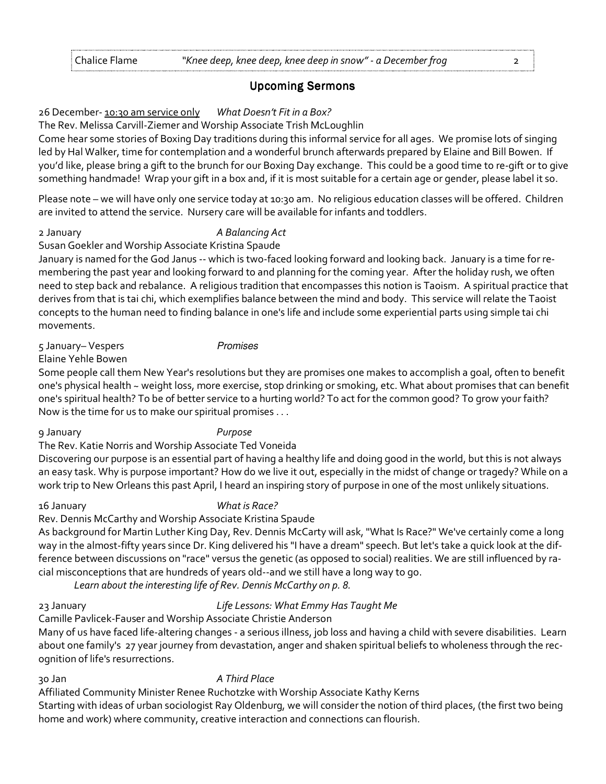### **Upcoming Sermons**

### 26 December- 10:30 am service only What Doesn't Fit in a Box?

#### The Rev. Melissa Carvill-Ziemer and Worship Associate Trish McLoughlin

Come hear some stories of Boxing Day traditions during this informal service for all ages. We promise lots of singing led by Hal Walker, time for contemplation and a wonderful brunch afterwards prepared by Elaine and Bill Bowen. If you'd like, please bring a gift to the brunch for our Boxing Day exchange. This could be a good time to re-gift or to give something handmade! Wrap your gift in a box and, if it is most suitable for a certain age or gender, please label it so.

Please note – we will have only one service today at 10:30 am. No religious education classes will be offered. Children are invited to attend the service. Nursery care will be available for infants and toddlers.

#### 2 January **A Balancing Act**

Susan Goekler and Worship Associate Kristina Spaude January is named for the God Janus -- which is two-faced looking forward and looking back. January is a time for remembering the past year and looking forward to and planning for the coming year. After the holiday rush, we often need to step back and rebalance. A religious tradition that encompasses this notion is Taoism. A spiritual practice that derives from that is tai chi, which exemplifies balance between the mind and body. This service will relate the Taoist concepts to the human need to finding balance in one's life and include some experiential parts using simple tai chi movements.

5 January– Vespers Promises

Elaine Yehle Bowen

Some people call them New Year's resolutions but they are promises one makes to accomplish a goal, often to benefit one's physical health ~ weight loss, more exercise, stop drinking or smoking, etc. What about promises that can benefit one's spiritual health? To be of better service to a hurting world? To act for the common good? To grow your faith? Now is the time for us to make our spiritual promises . . .

#### 9 January Purpose

The Rev. Katie Norris and Worship Associate Ted Voneida

Discovering our purpose is an essential part of having a healthy life and doing good in the world, but this is not always an easy task. Why is purpose important? How do we live it out, especially in the midst of change or tragedy? While on a work trip to New Orleans this past April, I heard an inspiring story of purpose in one of the most unlikely situations.

### 16 January What is Race?

Rev. Dennis McCarthy and Worship Associate Kristina Spaude

As background for Martin Luther King Day, Rev. Dennis McCarty will ask, "What Is Race?" We've certainly come a long way in the almost-fifty years since Dr. King delivered his "I have a dream" speech. But let's take a quick look at the difference between discussions on "race" versus the genetic (as opposed to social) realities. We are still influenced by racial misconceptions that are hundreds of years old--and we still have a long way to go.

Learn about the interesting life of Rev. Dennis McCarthy on p. 8.

### 23 January Life Lessons: What Emmy Has Taught Me

Camille Pavlicek-Fauser and Worship Associate Christie Anderson

Many of us have faced life-altering changes - a serious illness, job loss and having a child with severe disabilities. Learn about one family's 27 year journey from devastation, anger and shaken spiritual beliefs to wholeness through the recognition of life's resurrections.

# 30 Jan A Third Place

Affiliated Community Minister Renee Ruchotzke with Worship Associate Kathy Kerns Starting with ideas of urban sociologist Ray Oldenburg, we will consider the notion of third places, (the first two being home and work) where community, creative interaction and connections can flourish.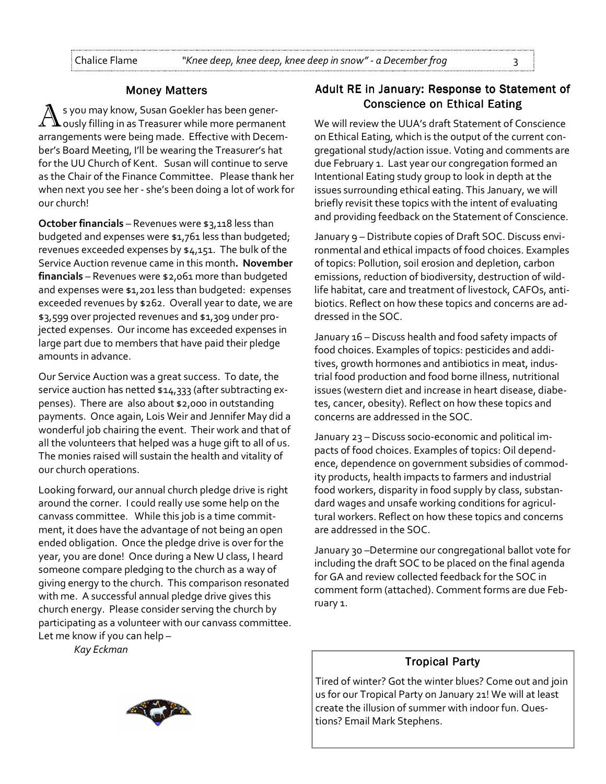#### **Money Matters**

s you may know, Susan Goekler has been generously filling in as Treasurer while more permanent arrangements were being made. Effective with December's Board Meeting, I'll be wearing the Treasurer's hat for the UU Church of Kent. Susan will continue to serve as the Chair of the Finance Committee. Please thank her when next you see her - she's been doing a lot of work for our church!

October financials – Revenues were \$3,118 less than budgeted and expenses were \$1,761 less than budgeted; revenues exceeded expenses by \$4,151. The bulk of the Service Auction revenue came in this month. November financials - Revenues were \$2,061 more than budgeted and expenses were \$1,201 less than budgeted: expenses exceeded revenues by \$262. Overall year to date, we are \$3,599 over projected revenues and \$1,309 under projected expenses. Our income has exceeded expenses in large part due to members that have paid their pledge amounts in advance.

Our Service Auction was a great success. To date, the service auction has netted \$14,333 (after subtracting expenses). There are also about \$2,000 in outstanding payments. Once again, Lois Weir and Jennifer May did a wonderful job chairing the event. Their work and that of all the volunteers that helped was a huge gift to all of us. The monies raised will sustain the health and vitality of our church operations.

Looking forward, our annual church pledge drive is right around the corner. I could really use some help on the canvass committee. While this job is a time commitment, it does have the advantage of not being an open ended obligation. Once the pledge drive is over for the year, you are done! Once during a New U class, I heard someone compare pledging to the church as a way of giving energy to the church. This comparison resonated with me. A successful annual pledge drive gives this church energy. Please consider serving the church by participating as a volunteer with our canvass committee. Let me know if you can help –

Kay Eckman

# Adult RE in January: Response to Statement of Conscience on Ethical Eating

We will review the UUA's draft Statement of Conscience on Ethical Eating, which is the output of the current congregational study/action issue. Voting and comments are due February 1. Last year our congregation formed an Intentional Eating study group to look in depth at the issues surrounding ethical eating. This January, we will briefly revisit these topics with the intent of evaluating and providing feedback on the Statement of Conscience.

January 9 – Distribute copies of Draft SOC. Discuss environmental and ethical impacts of food choices. Examples of topics: Pollution, soil erosion and depletion, carbon emissions, reduction of biodiversity, destruction of wildlife habitat, care and treatment of livestock, CAFOs, antibiotics. Reflect on how these topics and concerns are addressed in the SOC.

January 16 – Discuss health and food safety impacts of food choices. Examples of topics: pesticides and additives, growth hormones and antibiotics in meat, industrial food production and food borne illness, nutritional issues (western diet and increase in heart disease, diabetes, cancer, obesity). Reflect on how these topics and concerns are addressed in the SOC.

January 23 – Discuss socio-economic and political impacts of food choices. Examples of topics: Oil dependence, dependence on government subsidies of commodity products, health impacts to farmers and industrial food workers, disparity in food supply by class, substandard wages and unsafe working conditions for agricultural workers. Reflect on how these topics and concerns are addressed in the SOC.

January 30 –Determine our congregational ballot vote for including the draft SOC to be placed on the final agenda for GA and review collected feedback for the SOC in comment form (attached). Comment forms are due February 1.

### **Tropical Party**

Tired of winter? Got the winter blues? Come out and join us for our Tropical Party on January 21! We will at least create the illusion of summer with indoor fun. Questions? Email Mark Stephens.

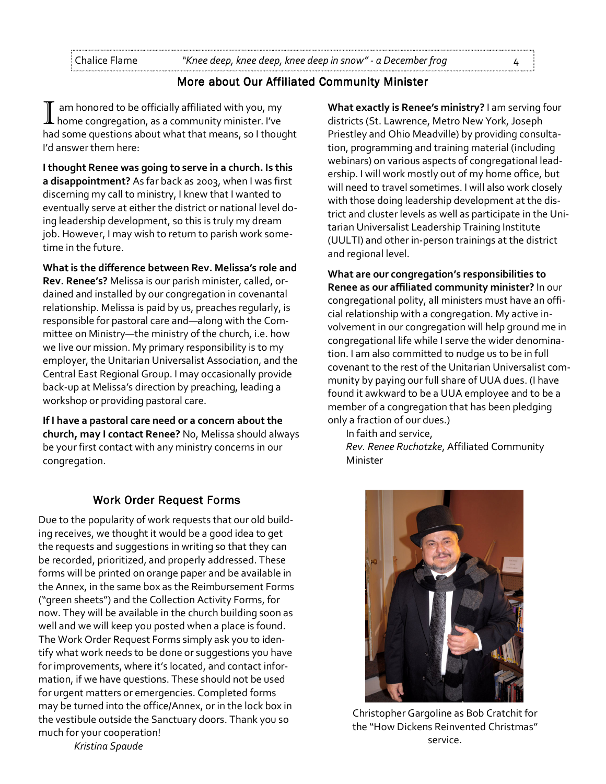# More about Our Affiliated Community Minister

am honored to be officially affiliated with you, my home congregation, as a community minister. I've had some questions about what that means, so I thought I'd answer them here:

I thought Renee was going to serve in a church. Is this a disappointment? As far back as 2003, when I was first discerning my call to ministry, I knew that I wanted to eventually serve at either the district or national level doing leadership development, so this is truly my dream job. However, I may wish to return to parish work sometime in the future.

What is the difference between Rev. Melissa's role and Rev. Renee's? Melissa is our parish minister, called, ordained and installed by our congregation in covenantal relationship. Melissa is paid by us, preaches regularly, is responsible for pastoral care and—along with the Committee on Ministry—the ministry of the church, i.e. how we live our mission. My primary responsibility is to my employer, the Unitarian Universalist Association, and the Central East Regional Group. I may occasionally provide back-up at Melissa's direction by preaching, leading a workshop or providing pastoral care.

If I have a pastoral care need or a concern about the church, may I contact Renee? No, Melissa should always be your first contact with any ministry concerns in our congregation.

### Work Order Request Forms

Due to the popularity of work requests that our old building receives, we thought it would be a good idea to get the requests and suggestions in writing so that they can be recorded, prioritized, and properly addressed. These forms will be printed on orange paper and be available in the Annex, in the same box as the Reimbursement Forms ("green sheets") and the Collection Activity Forms, for now. They will be available in the church building soon as well and we will keep you posted when a place is found. The Work Order Request Forms simply ask you to identify what work needs to be done or suggestions you have for improvements, where it's located, and contact information, if we have questions. These should not be used for urgent matters or emergencies. Completed forms may be turned into the office/Annex, or in the lock box in the vestibule outside the Sanctuary doors. Thank you so much for your cooperation! Kristina Spaude

What exactly is Renee's ministry? I am serving four districts (St. Lawrence, Metro New York, Joseph Priestley and Ohio Meadville) by providing consultation, programming and training material (including webinars) on various aspects of congregational leadership. I will work mostly out of my home office, but will need to travel sometimes. I will also work closely with those doing leadership development at the district and cluster levels as well as participate in the Unitarian Universalist Leadership Training Institute (UULTI) and other in-person trainings at the district and regional level.

What are our congregation's responsibilities to Renee as our affiliated community minister? In our congregational polity, all ministers must have an official relationship with a congregation. My active involvement in our congregation will help ground me in congregational life while I serve the wider denomination. I am also committed to nudge us to be in full covenant to the rest of the Unitarian Universalist community by paying our full share of UUA dues. (I have found it awkward to be a UUA employee and to be a member of a congregation that has been pledging only a fraction of our dues.)

In faith and service, Rev. Renee Ruchotzke, Affiliated Community Minister



Christopher Gargoline as Bob Cratchit for the "How Dickens Reinvented Christmas" service.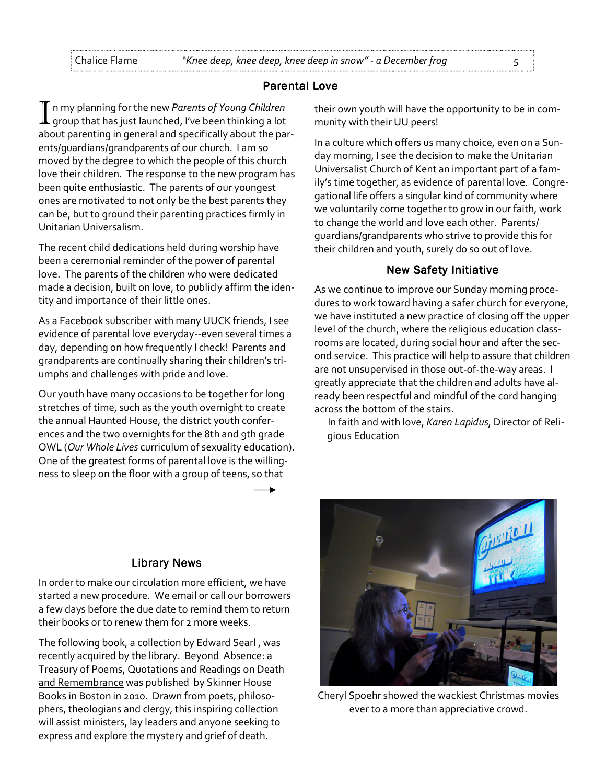### **Parental Love**

In my planning for the new Parents of Young Children<br>If group that has just launched, I've been thinking a lot about parenting in general and specifically about the parents/guardians/grandparents of our church. I am so moved by the degree to which the people of this church love their children. The response to the new program has been quite enthusiastic. The parents of our youngest ones are motivated to not only be the best parents they can be, but to ground their parenting practices firmly in Unitarian Universalism.

The recent child dedications held during worship have been a ceremonial reminder of the power of parental love. The parents of the children who were dedicated made a decision, built on love, to publicly affirm the identity and importance of their little ones.

As a Facebook subscriber with many UUCK friends, I see evidence of parental love everyday--even several times a day, depending on how frequently I check! Parents and grandparents are continually sharing their children's triumphs and challenges with pride and love.

Our youth have many occasions to be together for long stretches of time, such as the youth overnight to create the annual Haunted House, the district youth conferences and the two overnights for the 8th and 9th grade OWL (Our Whole Lives curriculum of sexuality education). One of the greatest forms of parental love is the willingness to sleep on the floor with a group of teens, so that

their own youth will have the opportunity to be in community with their UU peers!

In a culture which offers us many choice, even on a Sunday morning, I see the decision to make the Unitarian Universalist Church of Kent an important part of a family's time together, as evidence of parental love. Congregational life offers a singular kind of community where we voluntarily come together to grow in our faith, work to change the world and love each other. Parents/ guardians/grandparents who strive to provide this for their children and youth, surely do so out of love.

### **New Safety Initiative**

As we continue to improve our Sunday morning procedures to work toward having a safer church for everyone, we have instituted a new practice of closing off the upper level of the church, where the religious education classrooms are located, during social hour and after the second service. This practice will help to assure that children are not unsupervised in those out-of-the-way areas. I greatly appreciate that the children and adults have already been respectful and mindful of the cord hanging across the bottom of the stairs.

In faith and with love, Karen Lapidus, Director of Religious Education

### **Library News**

In order to make our circulation more efficient, we have started a new procedure. We email or call our borrowers a few days before the due date to remind them to return their books or to renew them for 2 more weeks.

The following book, a collection by Edward Searl , was recently acquired by the library. Beyond Absence: a Treasury of Poems, Quotations and Readings on Death and Remembrance was published by Skinner House Books in Boston in 2010. Drawn from poets, philosophers, theologians and clergy, this inspiring collection will assist ministers, lay leaders and anyone seeking to express and explore the mystery and grief of death.



Cheryl Spoehr showed the wackiest Christmas movies ever to a more than appreciative crowd.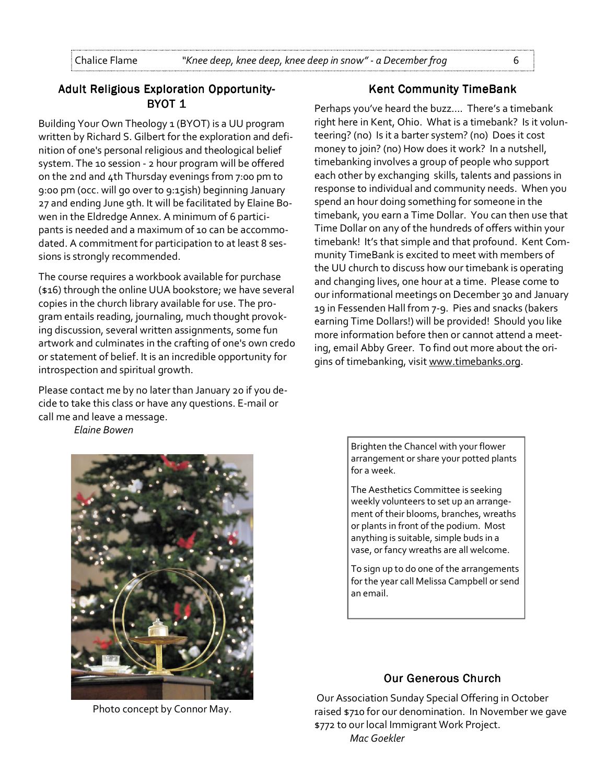# Adult Religious Exploration Opportunity-BYOT 1

Building Your Own Theology 1 (BYOT) is a UU program written by Richard S. Gilbert for the exploration and definition of one's personal religious and theological belief system. The 10 session - 2 hour program will be offered on the 2nd and 4th Thursday evenings from 7:00 pm to 9:00 pm (occ. will go over to 9:15ish) beginning January 27 and ending June 9th. It will be facilitated by Elaine Bowen in the Eldredge Annex. A minimum of 6 participants is needed and a maximum of 10 can be accommodated. A commitment for participation to at least 8 sessions is strongly recommended.

The course requires a workbook available for purchase (\$16) through the online UUA bookstore; we have several copies in the church library available for use. The program entails reading, journaling, much thought provoking discussion, several written assignments, some fun artwork and culminates in the crafting of one's own credo or statement of belief. It is an incredible opportunity for introspection and spiritual growth.

Please contact me by no later than January 20 if you decide to take this class or have any questions. E-mail or call me and leave a message.

Elaine Bowen



Photo concept by Connor May.

#### **Kent Community TimeBank**

Perhaps you've heard the buzz…. There's a timebank right here in Kent, Ohio. What is a timebank? Is it volunteering? (no) Is it a barter system? (no) Does it cost money to join? (no) How does it work? In a nutshell, timebanking involves a group of people who support each other by exchanging skills, talents and passions in response to individual and community needs. When you spend an hour doing something for someone in the timebank, you earn a Time Dollar. You can then use that Time Dollar on any of the hundreds of offers within your timebank! It's that simple and that profound. Kent Community TimeBank is excited to meet with members of the UU church to discuss how our timebank is operating and changing lives, one hour at a time. Please come to our informational meetings on December 30 and January 19 in Fessenden Hall from 7-9. Pies and snacks (bakers earning Time Dollars!) will be provided! Should you like more information before then or cannot attend a meeting, email Abby Greer. To find out more about the origins of timebanking, visit www.timebanks.org.

> Brighten the Chancel with your flower arrangement or share your potted plants for a week.

> The Aesthetics Committee is seeking weekly volunteers to set up an arrangement of their blooms, branches, wreaths or plants in front of the podium. Most anything is suitable, simple buds in a vase, or fancy wreaths are all welcome.

To sign up to do one of the arrangements for the year call Melissa Campbell or send an email.

# Our Generous Church

 Our Association Sunday Special Offering in October raised \$710 for our denomination. In November we gave \$772 to our local Immigrant Work Project. Mac Goekler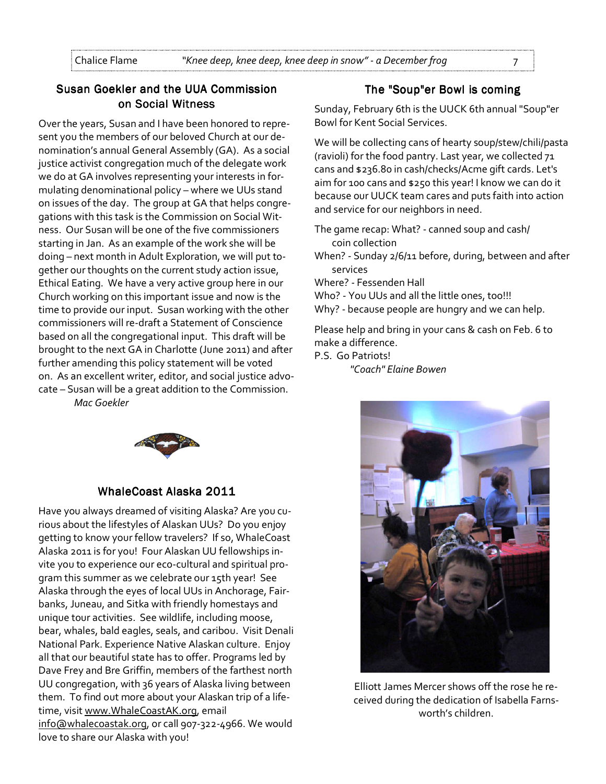# Susan Goekler and the UUA Commission on Social Witness

Over the years, Susan and I have been honored to represent you the members of our beloved Church at our denomination's annual General Assembly (GA). As a social justice activist congregation much of the delegate work we do at GA involves representing your interests in formulating denominational policy – where we UUs stand on issues of the day. The group at GA that helps congregations with this task is the Commission on Social Witness. Our Susan will be one of the five commissioners starting in Jan. As an example of the work she will be doing – next month in Adult Exploration, we will put together our thoughts on the current study action issue, Ethical Eating. We have a very active group here in our Church working on this important issue and now is the time to provide our input. Susan working with the other commissioners will re-draft a Statement of Conscience based on all the congregational input. This draft will be brought to the next GA in Charlotte (June 2011) and after further amending this policy statement will be voted on. As an excellent writer, editor, and social justice advocate – Susan will be a great addition to the Commission.

Mac Goekler



# WhaleCoast Alaska 2011

Have you always dreamed of visiting Alaska? Are you curious about the lifestyles of Alaskan UUs? Do you enjoy getting to know your fellow travelers? If so, WhaleCoast Alaska 2011 is for you! Four Alaskan UU fellowships invite you to experience our eco-cultural and spiritual program this summer as we celebrate our 15th year! See Alaska through the eyes of local UUs in Anchorage, Fairbanks, Juneau, and Sitka with friendly homestays and unique tour activities. See wildlife, including moose, bear, whales, bald eagles, seals, and caribou. Visit Denali National Park. Experience Native Alaskan culture. Enjoy all that our beautiful state has to offer. Programs led by Dave Frey and Bre Griffin, members of the farthest north UU congregation, with 36 years of Alaska living between them. To find out more about your Alaskan trip of a lifetime, visit www.WhaleCoastAK.org, email info@whalecoastak.org, or call 907-322-4966. We would love to share our Alaska with you!

### The "Soup"er Bowl is coming

Sunday, February 6th is the UUCK 6th annual "Soup"er Bowl for Kent Social Services.

We will be collecting cans of hearty soup/stew/chili/pasta (ravioli) for the food pantry. Last year, we collected 71 cans and \$236.80 in cash/checks/Acme gift cards. Let's aim for 100 cans and \$250 this year! I know we can do it because our UUCK team cares and puts faith into action and service for our neighbors in need.

- The game recap: What? canned soup and cash/ coin collection
- When? Sunday 2/6/11 before, during, between and after services

Where? - Fessenden Hall

- Who? You UUs and all the little ones, too!!!
- Why? because people are hungry and we can help.

Please help and bring in your cans & cash on Feb. 6 to make a difference.

P.S. Go Patriots!

"Coach" Elaine Bowen



Elliott James Mercer shows off the rose he received during the dedication of Isabella Farnsworth's children.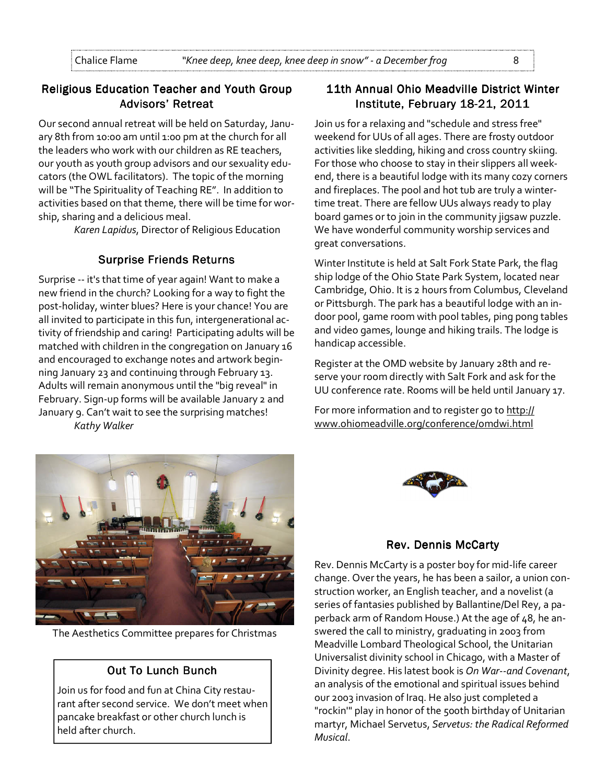# Religious Education Teacher and Youth Group Advisors' Retreat

Our second annual retreat will be held on Saturday, January 8th from 10:00 am until 1:00 pm at the church for all the leaders who work with our children as RE teachers, our youth as youth group advisors and our sexuality educators (the OWL facilitators). The topic of the morning will be "The Spirituality of Teaching RE". In addition to activities based on that theme, there will be time for worship, sharing and a delicious meal.

Karen Lapidus, Director of Religious Education

# Surprise Friends Returns

Surprise -- it's that time of year again! Want to make a new friend in the church? Looking for a way to fight the post-holiday, winter blues? Here is your chance! You are all invited to participate in this fun, intergenerational activity of friendship and caring! Participating adults will be matched with children in the congregation on January 16 and encouraged to exchange notes and artwork beginning January 23 and continuing through February 13. Adults will remain anonymous until the "big reveal" in February. Sign-up forms will be available January 2 and January 9. Can't wait to see the surprising matches! Kathy Walker

# 11th Annual Ohio Meadville District Winter Institute, February 18-21, 2011

Join us for a relaxing and "schedule and stress free" weekend for UUs of all ages. There are frosty outdoor activities like sledding, hiking and cross country skiing. For those who choose to stay in their slippers all weekend, there is a beautiful lodge with its many cozy corners and fireplaces. The pool and hot tub are truly a wintertime treat. There are fellow UUs always ready to play board games or to join in the community jigsaw puzzle. We have wonderful community worship services and great conversations.

Winter Institute is held at Salt Fork State Park, the flag ship lodge of the Ohio State Park System, located near Cambridge, Ohio. It is 2 hours from Columbus, Cleveland or Pittsburgh. The park has a beautiful lodge with an indoor pool, game room with pool tables, ping pong tables and video games, lounge and hiking trails. The lodge is handicap accessible.

Register at the OMD website by January 28th and reserve your room directly with Salt Fork and ask for the UU conference rate. Rooms will be held until January 17.

For more information and to register go to http:// www.ohiomeadville.org/conference/omdwi.html



The Aesthetics Committee prepares for Christmas

# **Out To Lunch Bunch**

Join us for food and fun at China City restaurant after second service. We don't meet when pancake breakfast or other church lunch is held after church.



# Rev. Dennis McCarty

Rev. Dennis McCarty is a poster boy for mid-life career change. Over the years, he has been a sailor, a union construction worker, an English teacher, and a novelist (a series of fantasies published by Ballantine/Del Rey, a paperback arm of Random House.) At the age of 48, he answered the call to ministry, graduating in 2003 from Meadville Lombard Theological School, the Unitarian Universalist divinity school in Chicago, with a Master of Divinity degree. His latest book is On War--and Covenant, an analysis of the emotional and spiritual issues behind our 2003 invasion of Iraq. He also just completed a "rockin'" play in honor of the 500th birthday of Unitarian martyr, Michael Servetus, Servetus: the Radical Reformed Musical.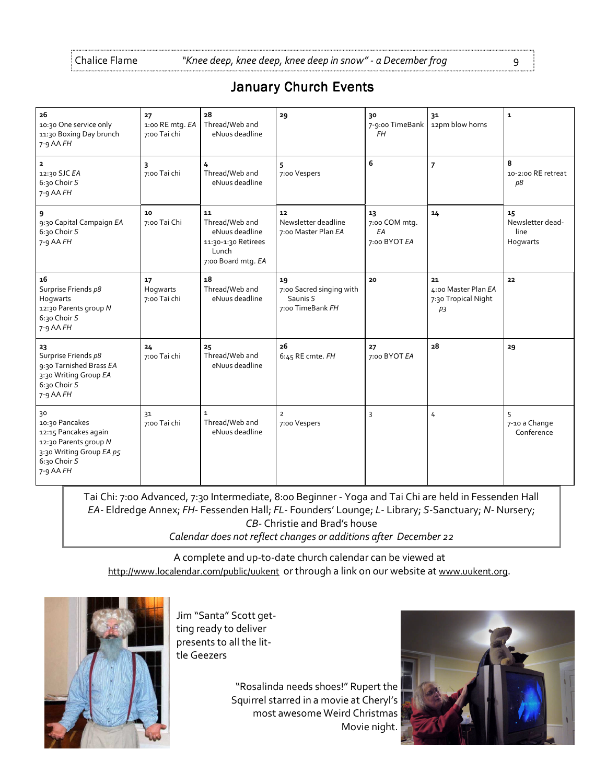| <b>January Church Events</b> |  |  |
|------------------------------|--|--|
|------------------------------|--|--|

| 26<br>10:30 One service only<br>11:30 Boxing Day brunch<br>$7 - 9$ AA $FH$                                                       | 27<br>1:00 RE mtg. EA<br>7:00 Tai chi | 28<br>Thread/Web and<br>eNuus deadline                                                       | 29                                                             | 30<br>7-9:00 TimeBank<br><b>FH</b>        | 31<br>12pm blow horns                                  | $\mathbf{1}$                               |
|----------------------------------------------------------------------------------------------------------------------------------|---------------------------------------|----------------------------------------------------------------------------------------------|----------------------------------------------------------------|-------------------------------------------|--------------------------------------------------------|--------------------------------------------|
| $\overline{\mathbf{2}}$<br>12:30 SJC EA<br>6:30 Choir S<br>7-9 AA FH                                                             | 3<br>7:00 Tai chi                     | 4<br>Thread/Web and<br>eNuus deadline                                                        | 5<br>7:00 Vespers                                              | 6                                         | $\overline{7}$                                         | 8<br>10-2:00 RE retreat<br>p8              |
| 9<br>9:30 Capital Campaign EA<br>6:30 Choir S<br>$7 - 9$ AA $FH$                                                                 | 10<br>7:00 Tai Chi                    | 11<br>Thread/Web and<br>eNuus deadline<br>11:30-1:30 Retirees<br>Lunch<br>7:00 Board mtg. EA | 12<br>Newsletter deadline<br>7:00 Master Plan EA               | 13<br>7:00 COM mtg.<br>EA<br>7:00 BYOT EA | 14                                                     | 15<br>Newsletter dead-<br>line<br>Hogwarts |
| 16<br>Surprise Friends p8<br>Hogwarts<br>12:30 Parents group N<br>6:30 Choir S<br>7-9 AA FH                                      | 17<br>Hogwarts<br>7:00 Tai chi        | 18<br>Thread/Web and<br>eNuus deadline                                                       | 19<br>7:00 Sacred singing with<br>Saunis S<br>7:00 TimeBank FH | 20                                        | 21<br>4:00 Master Plan EA<br>7:30 Tropical Night<br>p3 | 22                                         |
| 23<br>Surprise Friends p8<br>9:30 Tarnished Brass EA<br>3:30 Writing Group EA<br>6:30 Choir S<br>$7-9$ AA $FH$                   | 24<br>7:00 Tai chi                    | 25<br>Thread/Web and<br>eNuus deadline                                                       | 26<br>6:45 RE cmte. FH                                         | 27<br>7:00 BYOT EA                        | 28                                                     | 29                                         |
| 30<br>10:30 Pancakes<br>12:15 Pancakes again<br>12:30 Parents group N<br>3:30 Writing Group EA p5<br>6:30 Choir S<br>$7-9$ AA FH | 31<br>7:00 Tai chi                    | $\mathbf{1}$<br>Thread/Web and<br>eNuus deadline                                             | $\overline{2}$<br>7:00 Vespers                                 | 3                                         | 4                                                      | 5<br>7-10 a Change<br>Conference           |

Tai Chi: 7:00 Advanced, 7:30 Intermediate, 8:00 Beginner - Yoga and Tai Chi are held in Fessenden Hall EA- Eldredge Annex; FH- Fessenden Hall; FL- Founders' Lounge; L- Library; S-Sanctuary; N- Nursery; CB- Christie and Brad's house Calendar does not reflect changes or additions after December 22

A complete and up-to-date church calendar can be viewed at http://www.localendar.com/public/uukent or through a link on our website at www.uukent.org.



Jim "Santa" Scott getting ready to deliver presents to all the little Geezers

> "Rosalinda needs shoes!" Rupert the Squirrel starred in a movie at Cheryl's most awesome Weird Christmas Movie night.